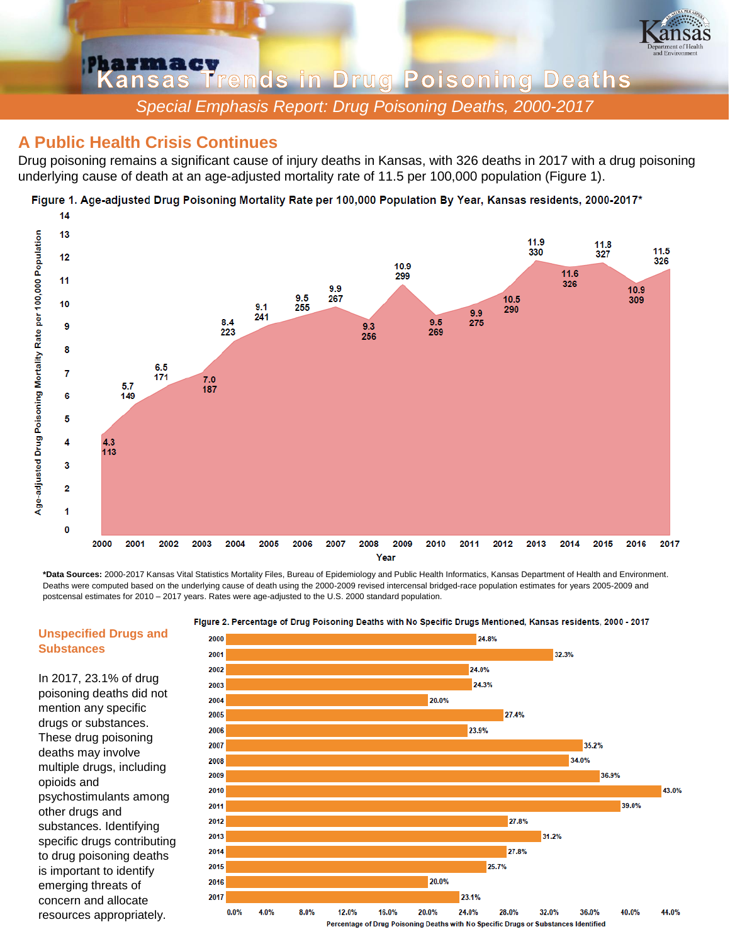

**Pharmacy**<br>Kansas Trends in Drug Poisoning Deaths *Special Emphasis Report: Drug Poisoning Deaths, 2000-2017*

## In 2 **A Public Health Crisis Continues**

Drug poisoning remains a significant cause of injury deaths in Kansas, with 326 deaths in 2017 with a drug poisoning underlying cause of death at an age-adjusted mortality rate of 11.5 per 100,000 population (Figure 1).

Figure 1. Age-adjusted Drug Poisoning Mortality Rate per 100,000 Population By Year, Kansas residents, 2000-2017\*



**\*Data Sources:** 2000-2017 Kansas Vital Statistics Mortality Files, Bureau of Epidemiology and Public Health Informatics, Kansas Department of Health and Environment. Deaths were computed based on the underlying cause of death using the 2000-2009 revised intercensal bridged-race population estimates for years 2005-2009 and postcensal estimates for 2010 – 2017 years. Rates were age-adjusted to the U.S. 2000 standard population.



## Figure 2. Percentage of Drug Poisoning Deaths with No Specific Drugs Mentioned, Kansas residents, 2000 - 2017

## **Unspecified Drugs and Substances**

In 2017, 23.1% of drug poisoning deaths did not mention any specific drugs or substances. These drug poisoning deaths may involve multiple drugs, including opioids and psychostimulants among other drugs and substances. Identifying specific drugs contributing to drug poisoning deaths is important to identify emerging threats of concern and allocate resources appropriately.

Percentage of Drug Poisoning Deaths with No Specific Drugs or Substances Identified